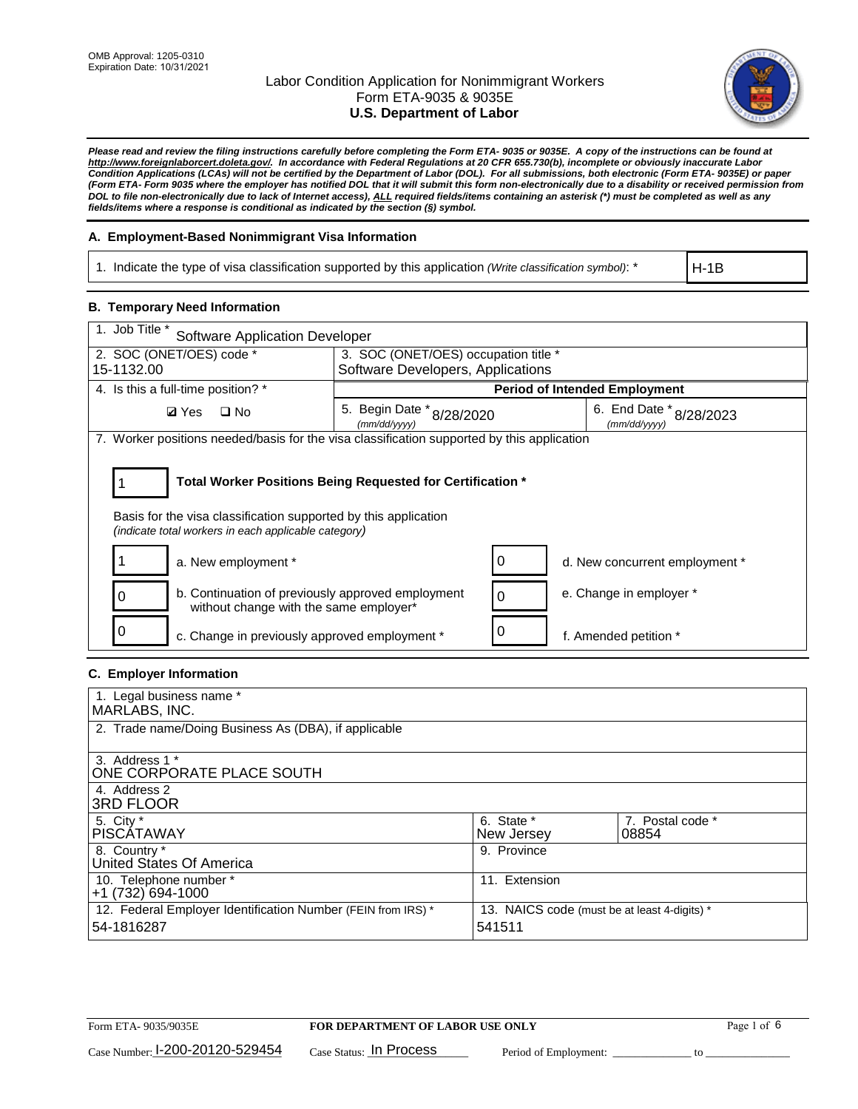

*Please read and review the filing instructions carefully before completing the Form ETA- 9035 or 9035E. A copy of the instructions can be found at [http://www.foreignlaborcert.doleta.gov/.](http://www.foreignlaborcert.doleta.gov/) In accordance with Federal Regulations at 20 CFR 655.730(b), incomplete or obviously inaccurate Labor Condition Applications (LCAs) will not be certified by the Department of Labor (DOL). For all submissions, both electronic (Form ETA- 9035E) or paper (Form ETA- Form 9035 where the employer has notified DOL that it will submit this form non-electronically due to a disability or received permission from DOL to file non-electronically due to lack of Internet access), ALL required fields/items containing an asterisk (\*) must be completed as well as any fields/items where a response is conditional as indicated by the section (§) symbol.* 

### **A. Employment-Based Nonimmigrant Visa Information**

1. Indicate the type of visa classification supported by this application *(Write classification symbol)*: \*

H-1B

## **B. Temporary Need Information**

| 1. Job Title *<br>Software Application Developer                                                                                                                                      |                                           |                                   |                                         |  |
|---------------------------------------------------------------------------------------------------------------------------------------------------------------------------------------|-------------------------------------------|-----------------------------------|-----------------------------------------|--|
| 2. SOC (ONET/OES) code *                                                                                                                                                              | 3. SOC (ONET/OES) occupation title *      |                                   |                                         |  |
| 15-1132.00                                                                                                                                                                            |                                           | Software Developers, Applications |                                         |  |
| 4. Is this a full-time position? *                                                                                                                                                    |                                           |                                   | <b>Period of Intended Employment</b>    |  |
| $\Box$ No<br><b>Ø</b> Yes                                                                                                                                                             | 5. Begin Date * 8/28/2020<br>(mm/dd/yyyy) |                                   | 6. End Date * 8/28/2023<br>(mm/dd/vvvv) |  |
| 7. Worker positions needed/basis for the visa classification supported by this application                                                                                            |                                           |                                   |                                         |  |
| Total Worker Positions Being Requested for Certification *<br>Basis for the visa classification supported by this application<br>(indicate total workers in each applicable category) |                                           |                                   |                                         |  |
| a. New employment *                                                                                                                                                                   |                                           |                                   | d. New concurrent employment *          |  |
| b. Continuation of previously approved employment<br>without change with the same employer*                                                                                           |                                           | 0                                 | e. Change in employer *                 |  |
| c. Change in previously approved employment *                                                                                                                                         |                                           |                                   | f. Amended petition *                   |  |

### **C. Employer Information**

| 1. Legal business name *                                     |                                              |                  |
|--------------------------------------------------------------|----------------------------------------------|------------------|
| MARLABS, INC.                                                |                                              |                  |
| 2. Trade name/Doing Business As (DBA), if applicable         |                                              |                  |
|                                                              |                                              |                  |
| 3. Address 1 *                                               |                                              |                  |
| ONE CORPORATE PLACE SOUTH                                    |                                              |                  |
| 4. Address 2                                                 |                                              |                  |
| <b>3RD FLOOR</b>                                             |                                              |                  |
| 5. City *                                                    | 6. State *                                   | 7. Postal code * |
| PISCÁTAWAY                                                   | New Jersey                                   | 08854            |
| 8. Country *                                                 | 9. Province                                  |                  |
| United States Of America                                     |                                              |                  |
| 10. Telephone number *                                       | 11. Extension                                |                  |
| +1 (732) 694-1000                                            |                                              |                  |
| 12. Federal Employer Identification Number (FEIN from IRS) * | 13. NAICS code (must be at least 4-digits) * |                  |
| 54-1816287                                                   | 541511                                       |                  |
|                                                              |                                              |                  |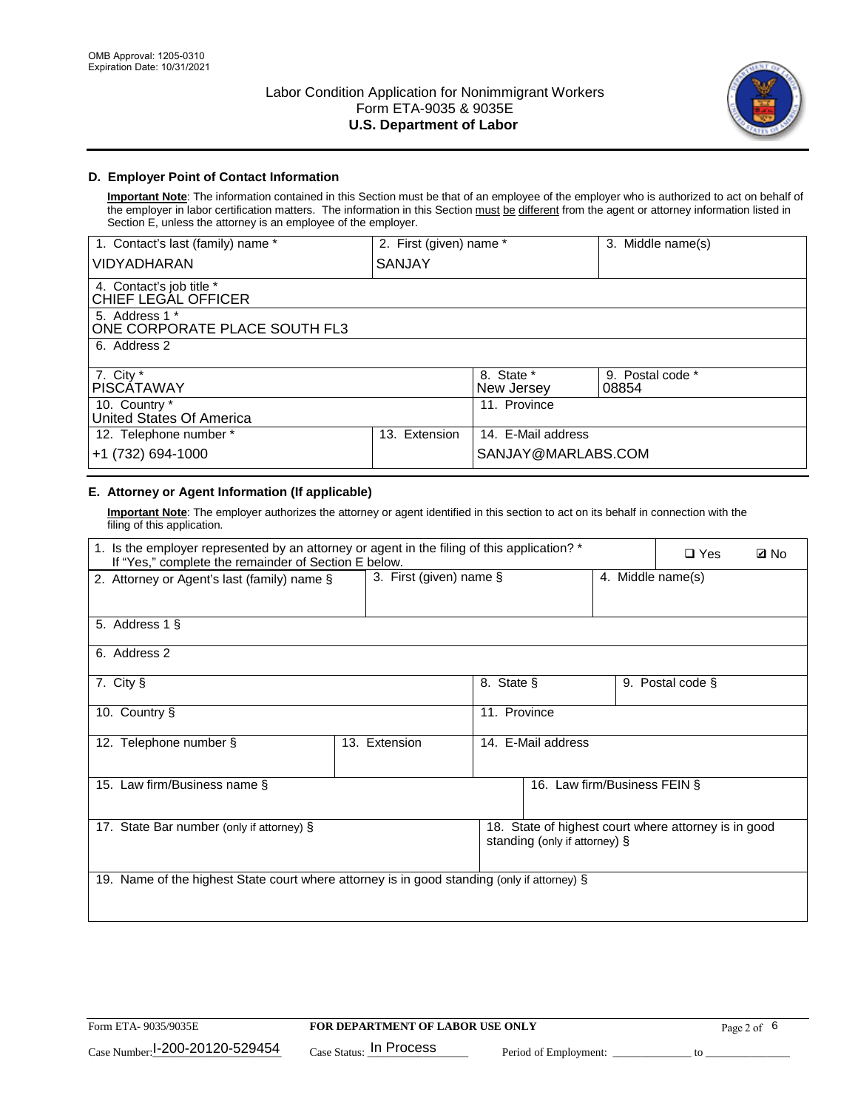

### **D. Employer Point of Contact Information**

**Important Note**: The information contained in this Section must be that of an employee of the employer who is authorized to act on behalf of the employer in labor certification matters. The information in this Section must be different from the agent or attorney information listed in Section E, unless the attorney is an employee of the employer.

| 1. Contact's last (family) name *               | 2. First (given) name * |                          | 3. Middle name(s)         |
|-------------------------------------------------|-------------------------|--------------------------|---------------------------|
| <b>VIDYADHARAN</b>                              | SANJAY                  |                          |                           |
| 4. Contact's job title *<br>CHIEF LEGAL OFFICER |                         |                          |                           |
| 5. Address 1 *<br>ONE CORPORATE PLACE SOUTH FL3 |                         |                          |                           |
| 6. Address 2                                    |                         |                          |                           |
| 7. City $*$<br><b>PISCÁTAWAY</b>                |                         | 8. State *<br>New Jersey | 9. Postal code *<br>08854 |
| 10. Country *<br>United States Of America       |                         | 11. Province             |                           |
| 12. Telephone number *                          | Extension<br>13.        | 14. E-Mail address       |                           |
| +1 (732) 694-1000                               |                         | SANJAY@MARLABS.COM       |                           |

# **E. Attorney or Agent Information (If applicable)**

**Important Note**: The employer authorizes the attorney or agent identified in this section to act on its behalf in connection with the filing of this application.

| 1. Is the employer represented by an attorney or agent in the filing of this application? *<br>If "Yes," complete the remainder of Section E below. |                            |              |                               | $\Box$ Yes        | <b>Ø</b> No                                          |  |
|-----------------------------------------------------------------------------------------------------------------------------------------------------|----------------------------|--------------|-------------------------------|-------------------|------------------------------------------------------|--|
| 2. Attorney or Agent's last (family) name §                                                                                                         | 3. First (given) name $\S$ |              |                               | 4. Middle name(s) |                                                      |  |
| 5. Address 1 §                                                                                                                                      |                            |              |                               |                   |                                                      |  |
| 6. Address 2                                                                                                                                        |                            |              |                               |                   |                                                      |  |
| 7. City §                                                                                                                                           |                            | 8. State §   |                               |                   | 9. Postal code §                                     |  |
| 10. Country §                                                                                                                                       |                            | 11. Province |                               |                   |                                                      |  |
| 12. Telephone number §                                                                                                                              | 13. Extension              |              | 14. E-Mail address            |                   |                                                      |  |
| 15. Law firm/Business name §                                                                                                                        |                            |              | 16. Law firm/Business FEIN §  |                   |                                                      |  |
| 17. State Bar number (only if attorney) §                                                                                                           |                            |              | standing (only if attorney) § |                   | 18. State of highest court where attorney is in good |  |
| 19. Name of the highest State court where attorney is in good standing (only if attorney) §                                                         |                            |              |                               |                   |                                                      |  |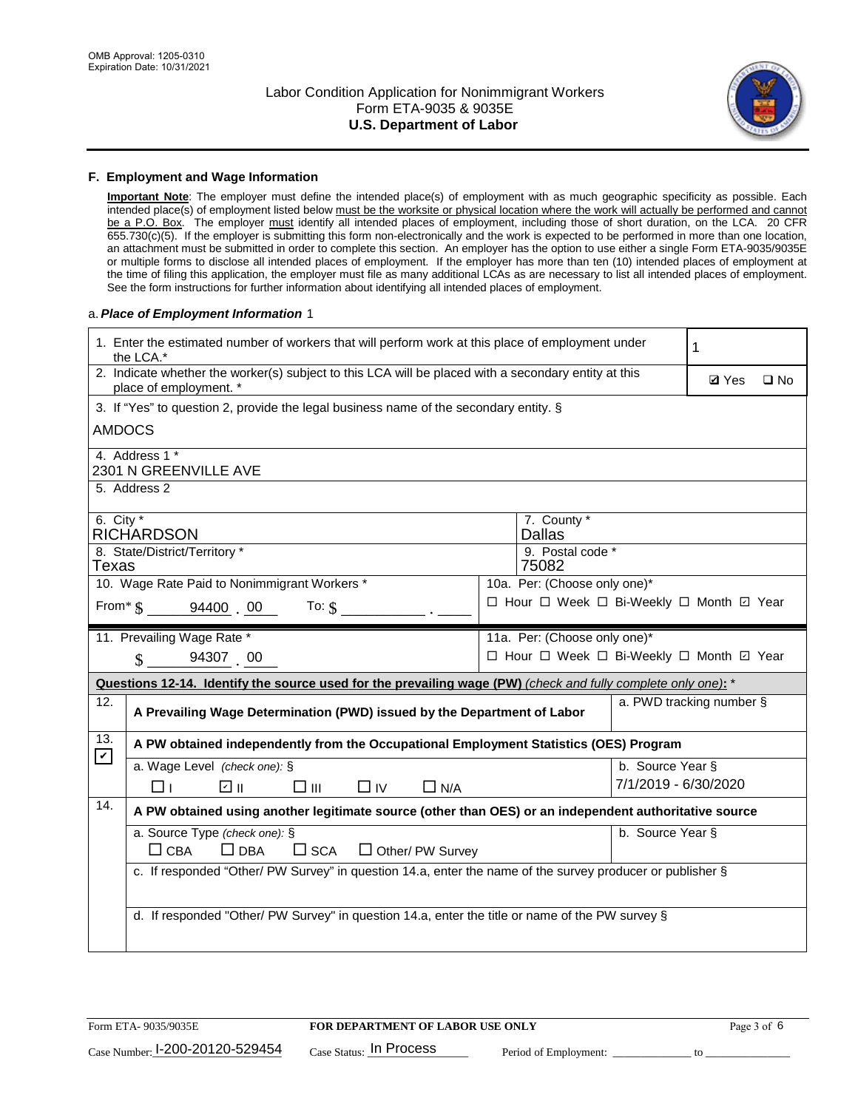

#### **F. Employment and Wage Information**

**Important Note**: The employer must define the intended place(s) of employment with as much geographic specificity as possible. Each intended place(s) of employment listed below must be the worksite or physical location where the work will actually be performed and cannot be a P.O. Box. The employer must identify all intended places of employment, including those of short duration, on the LCA. 20 CFR 655.730(c)(5). If the employer is submitting this form non-electronically and the work is expected to be performed in more than one location, an attachment must be submitted in order to complete this section. An employer has the option to use either a single Form ETA-9035/9035E or multiple forms to disclose all intended places of employment. If the employer has more than ten (10) intended places of employment at the time of filing this application, the employer must file as many additional LCAs as are necessary to list all intended places of employment. See the form instructions for further information about identifying all intended places of employment.

#### a.*Place of Employment Information* 1

| 1. Enter the estimated number of workers that will perform work at this place of employment under<br>the LCA.* |                                                                                                                                |  |                                          | 1                    |              |              |
|----------------------------------------------------------------------------------------------------------------|--------------------------------------------------------------------------------------------------------------------------------|--|------------------------------------------|----------------------|--------------|--------------|
|                                                                                                                | 2. Indicate whether the worker(s) subject to this LCA will be placed with a secondary entity at this<br>place of employment. * |  |                                          |                      | <b>Ø</b> Yes | $\square$ No |
|                                                                                                                | 3. If "Yes" to question 2, provide the legal business name of the secondary entity. §                                          |  |                                          |                      |              |              |
| <b>AMDOCS</b>                                                                                                  |                                                                                                                                |  |                                          |                      |              |              |
|                                                                                                                | 4. Address 1 *<br>2301 N GREENVILLE AVE                                                                                        |  |                                          |                      |              |              |
|                                                                                                                | 5. Address 2                                                                                                                   |  |                                          |                      |              |              |
| 6. City $*$                                                                                                    | <b>RICHARDSON</b>                                                                                                              |  | 7. County *<br><b>Dallas</b>             |                      |              |              |
| Texas                                                                                                          | 8. State/District/Territory *                                                                                                  |  | 9. Postal code *<br>75082                |                      |              |              |
|                                                                                                                | 10. Wage Rate Paid to Nonimmigrant Workers *                                                                                   |  | 10a. Per: (Choose only one)*             |                      |              |              |
|                                                                                                                | □ Hour □ Week □ Bi-Weekly □ Month ☑ Year<br>From* \$ 94400 00<br>To: $\S$                                                      |  |                                          |                      |              |              |
|                                                                                                                | 11. Prevailing Wage Rate *                                                                                                     |  | 11a. Per: (Choose only one)*             |                      |              |              |
|                                                                                                                | $\frac{\text{}}{\text{}}$ 94307 00                                                                                             |  | □ Hour □ Week □ Bi-Weekly □ Month ☑ Year |                      |              |              |
|                                                                                                                | Questions 12-14. Identify the source used for the prevailing wage (PW) (check and fully complete only one): *                  |  |                                          |                      |              |              |
| 12.                                                                                                            | a. PWD tracking number §<br>A Prevailing Wage Determination (PWD) issued by the Department of Labor                            |  |                                          |                      |              |              |
| 13.                                                                                                            | A PW obtained independently from the Occupational Employment Statistics (OES) Program                                          |  |                                          |                      |              |              |
| $\mathbf v$                                                                                                    | a. Wage Level (check one): §                                                                                                   |  |                                          | b. Source Year §     |              |              |
|                                                                                                                | ☑ ⊪<br>$\square$ $\square$<br>$\Box$ IV<br>$\Box$ N/A<br>□⊥                                                                    |  |                                          | 7/1/2019 - 6/30/2020 |              |              |
| 14.                                                                                                            | A PW obtained using another legitimate source (other than OES) or an independent authoritative source                          |  |                                          |                      |              |              |
|                                                                                                                | a. Source Type (check one): §<br>b. Source Year §<br>$\Box$ CBA<br>$\Box$ DBA<br>$\square$ SCA<br>$\Box$ Other/ PW Survey      |  |                                          |                      |              |              |
|                                                                                                                | c. If responded "Other/ PW Survey" in question 14.a, enter the name of the survey producer or publisher §                      |  |                                          |                      |              |              |
|                                                                                                                | d. If responded "Other/ PW Survey" in question 14.a, enter the title or name of the PW survey §                                |  |                                          |                      |              |              |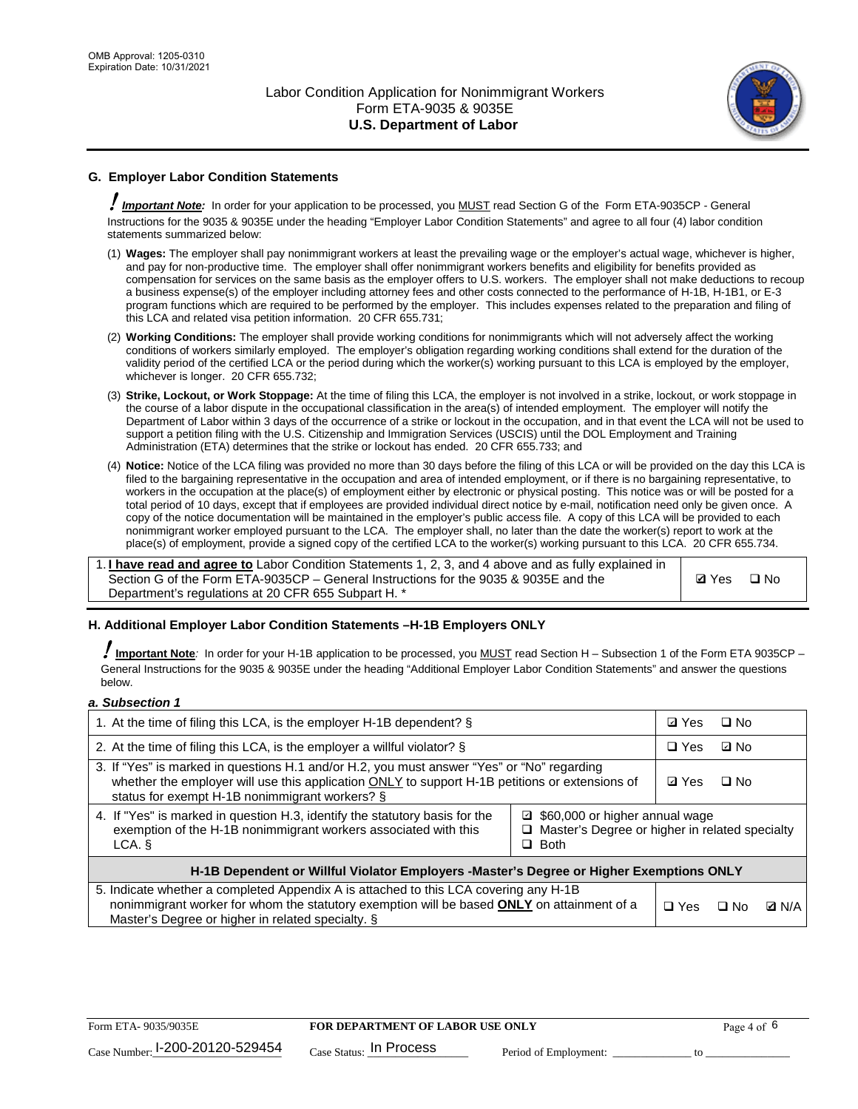

## **G. Employer Labor Condition Statements**

! *Important Note:* In order for your application to be processed, you MUST read Section G of the Form ETA-9035CP - General Instructions for the 9035 & 9035E under the heading "Employer Labor Condition Statements" and agree to all four (4) labor condition statements summarized below:

- (1) **Wages:** The employer shall pay nonimmigrant workers at least the prevailing wage or the employer's actual wage, whichever is higher, and pay for non-productive time. The employer shall offer nonimmigrant workers benefits and eligibility for benefits provided as compensation for services on the same basis as the employer offers to U.S. workers. The employer shall not make deductions to recoup a business expense(s) of the employer including attorney fees and other costs connected to the performance of H-1B, H-1B1, or E-3 program functions which are required to be performed by the employer. This includes expenses related to the preparation and filing of this LCA and related visa petition information. 20 CFR 655.731;
- (2) **Working Conditions:** The employer shall provide working conditions for nonimmigrants which will not adversely affect the working conditions of workers similarly employed. The employer's obligation regarding working conditions shall extend for the duration of the validity period of the certified LCA or the period during which the worker(s) working pursuant to this LCA is employed by the employer, whichever is longer. 20 CFR 655.732;
- (3) **Strike, Lockout, or Work Stoppage:** At the time of filing this LCA, the employer is not involved in a strike, lockout, or work stoppage in the course of a labor dispute in the occupational classification in the area(s) of intended employment. The employer will notify the Department of Labor within 3 days of the occurrence of a strike or lockout in the occupation, and in that event the LCA will not be used to support a petition filing with the U.S. Citizenship and Immigration Services (USCIS) until the DOL Employment and Training Administration (ETA) determines that the strike or lockout has ended. 20 CFR 655.733; and
- (4) **Notice:** Notice of the LCA filing was provided no more than 30 days before the filing of this LCA or will be provided on the day this LCA is filed to the bargaining representative in the occupation and area of intended employment, or if there is no bargaining representative, to workers in the occupation at the place(s) of employment either by electronic or physical posting. This notice was or will be posted for a total period of 10 days, except that if employees are provided individual direct notice by e-mail, notification need only be given once. A copy of the notice documentation will be maintained in the employer's public access file. A copy of this LCA will be provided to each nonimmigrant worker employed pursuant to the LCA. The employer shall, no later than the date the worker(s) report to work at the place(s) of employment, provide a signed copy of the certified LCA to the worker(s) working pursuant to this LCA. 20 CFR 655.734.

1. **I have read and agree to** Labor Condition Statements 1, 2, 3, and 4 above and as fully explained in Section G of the Form ETA-9035CP – General Instructions for the 9035 & 9035E and the Department's regulations at 20 CFR 655 Subpart H. \*

**Ø**Yes ロNo

#### **H. Additional Employer Labor Condition Statements –H-1B Employers ONLY**

!**Important Note***:* In order for your H-1B application to be processed, you MUST read Section H – Subsection 1 of the Form ETA 9035CP – General Instructions for the 9035 & 9035E under the heading "Additional Employer Labor Condition Statements" and answer the questions below.

#### *a. Subsection 1*

| 1. At the time of filing this LCA, is the employer H-1B dependent? §                                                                                                                                                                           |                                                                                                     |              | $\square$ No |              |
|------------------------------------------------------------------------------------------------------------------------------------------------------------------------------------------------------------------------------------------------|-----------------------------------------------------------------------------------------------------|--------------|--------------|--------------|
| 2. At the time of filing this LCA, is the employer a willful violator? $\S$                                                                                                                                                                    |                                                                                                     | $\Box$ Yes   | ⊡ No         |              |
| 3. If "Yes" is marked in questions H.1 and/or H.2, you must answer "Yes" or "No" regarding<br>whether the employer will use this application ONLY to support H-1B petitions or extensions of<br>status for exempt H-1B nonimmigrant workers? § |                                                                                                     | <b>☑</b> Yes | $\Box$ No    |              |
| 4. If "Yes" is marked in question H.3, identify the statutory basis for the<br>exemption of the H-1B nonimmigrant workers associated with this<br>LCA.                                                                                         | ■ \$60,000 or higher annual wage<br>□ Master's Degree or higher in related specialty<br>$\Box$ Both |              |              |              |
| H-1B Dependent or Willful Violator Employers -Master's Degree or Higher Exemptions ONLY                                                                                                                                                        |                                                                                                     |              |              |              |
| 5. Indicate whether a completed Appendix A is attached to this LCA covering any H-1B<br>nonimmigrant worker for whom the statutory exemption will be based <b>ONLY</b> on attainment of a<br>Master's Degree or higher in related specialty. § |                                                                                                     | $\Box$ Yes   | ⊡ No         | <b>D</b> N/A |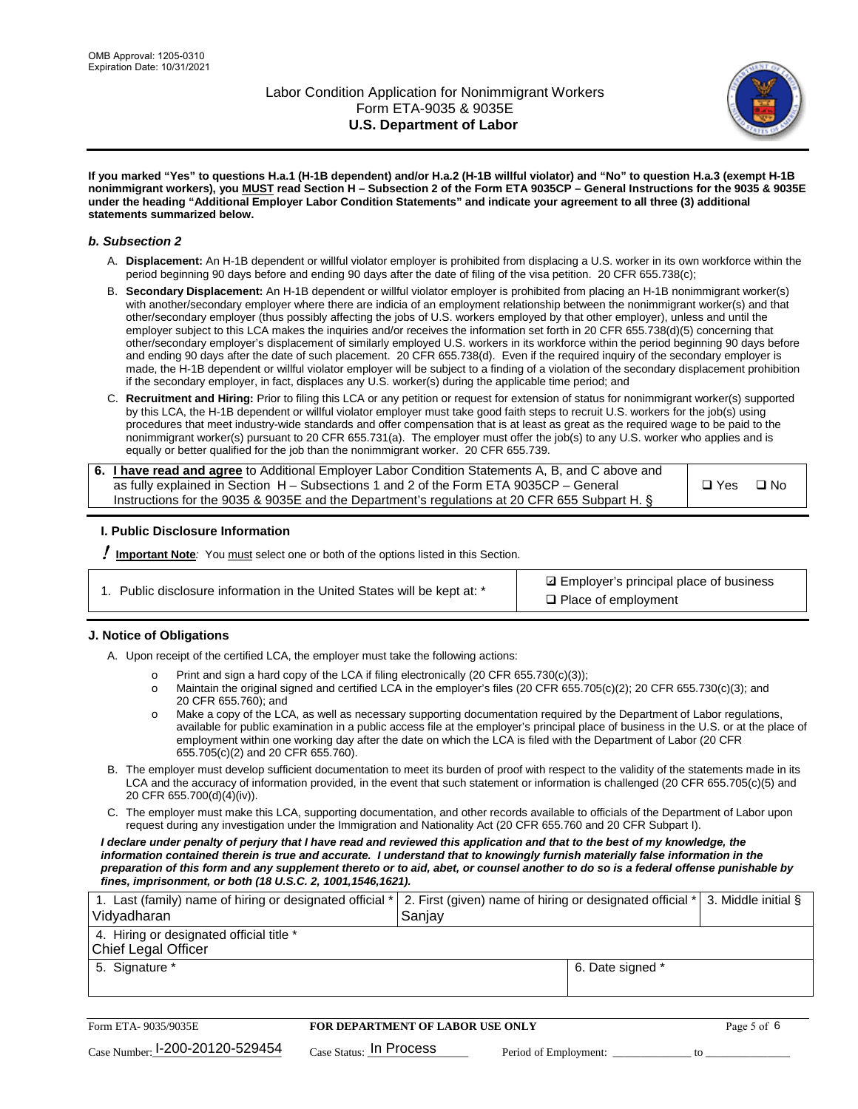

**If you marked "Yes" to questions H.a.1 (H-1B dependent) and/or H.a.2 (H-1B willful violator) and "No" to question H.a.3 (exempt H-1B nonimmigrant workers), you MUST read Section H – Subsection 2 of the Form ETA 9035CP – General Instructions for the 9035 & 9035E under the heading "Additional Employer Labor Condition Statements" and indicate your agreement to all three (3) additional statements summarized below.**

#### *b. Subsection 2*

- A. **Displacement:** An H-1B dependent or willful violator employer is prohibited from displacing a U.S. worker in its own workforce within the period beginning 90 days before and ending 90 days after the date of filing of the visa petition. 20 CFR 655.738(c);
- B. **Secondary Displacement:** An H-1B dependent or willful violator employer is prohibited from placing an H-1B nonimmigrant worker(s) with another/secondary employer where there are indicia of an employment relationship between the nonimmigrant worker(s) and that other/secondary employer (thus possibly affecting the jobs of U.S. workers employed by that other employer), unless and until the employer subject to this LCA makes the inquiries and/or receives the information set forth in 20 CFR 655.738(d)(5) concerning that other/secondary employer's displacement of similarly employed U.S. workers in its workforce within the period beginning 90 days before and ending 90 days after the date of such placement. 20 CFR 655.738(d). Even if the required inquiry of the secondary employer is made, the H-1B dependent or willful violator employer will be subject to a finding of a violation of the secondary displacement prohibition if the secondary employer, in fact, displaces any U.S. worker(s) during the applicable time period; and
- C. **Recruitment and Hiring:** Prior to filing this LCA or any petition or request for extension of status for nonimmigrant worker(s) supported by this LCA, the H-1B dependent or willful violator employer must take good faith steps to recruit U.S. workers for the job(s) using procedures that meet industry-wide standards and offer compensation that is at least as great as the required wage to be paid to the nonimmigrant worker(s) pursuant to 20 CFR 655.731(a). The employer must offer the job(s) to any U.S. worker who applies and is equally or better qualified for the job than the nonimmigrant worker. 20 CFR 655.739.

| 6. I have read and agree to Additional Employer Labor Condition Statements A, B, and C above and |               |           |
|--------------------------------------------------------------------------------------------------|---------------|-----------|
| as fully explained in Section H – Subsections 1 and 2 of the Form ETA 9035CP – General           | $\square$ Yes | $\Box$ No |
| Instructions for the 9035 & 9035 E and the Department's regulations at 20 CFR 655 Subpart H. §   |               |           |

#### **I. Public Disclosure Information**

! **Important Note***:* You must select one or both of the options listed in this Section.

**sqrt** Employer's principal place of business □ Place of employment

#### **J. Notice of Obligations**

A. Upon receipt of the certified LCA, the employer must take the following actions:

- o Print and sign a hard copy of the LCA if filing electronically (20 CFR 655.730(c)(3));<br>
Maintain the original signed and certified LCA in the employer's files (20 CFR 655.7
- Maintain the original signed and certified LCA in the employer's files (20 CFR 655.705(c)(2); 20 CFR 655.730(c)(3); and 20 CFR 655.760); and
- o Make a copy of the LCA, as well as necessary supporting documentation required by the Department of Labor regulations, available for public examination in a public access file at the employer's principal place of business in the U.S. or at the place of employment within one working day after the date on which the LCA is filed with the Department of Labor (20 CFR 655.705(c)(2) and 20 CFR 655.760).
- B. The employer must develop sufficient documentation to meet its burden of proof with respect to the validity of the statements made in its LCA and the accuracy of information provided, in the event that such statement or information is challenged (20 CFR 655.705(c)(5) and 20 CFR 655.700(d)(4)(iv)).
- C. The employer must make this LCA, supporting documentation, and other records available to officials of the Department of Labor upon request during any investigation under the Immigration and Nationality Act (20 CFR 655.760 and 20 CFR Subpart I).

*I declare under penalty of perjury that I have read and reviewed this application and that to the best of my knowledge, the*  information contained therein is true and accurate. I understand that to knowingly furnish materially false information in the *preparation of this form and any supplement thereto or to aid, abet, or counsel another to do so is a federal offense punishable by fines, imprisonment, or both (18 U.S.C. 2, 1001,1546,1621).*

| 1. Last (family) name of hiring or designated official *<br>Vidyadharan | 2. First (given) name of hiring or designated official *<br>Sanjay | 3. Middle initial § |
|-------------------------------------------------------------------------|--------------------------------------------------------------------|---------------------|
| 4. Hiring or designated official title *<br><b>Chief Legal Officer</b>  |                                                                    |                     |
| 5. Signature *                                                          | 6. Date signed *                                                   |                     |